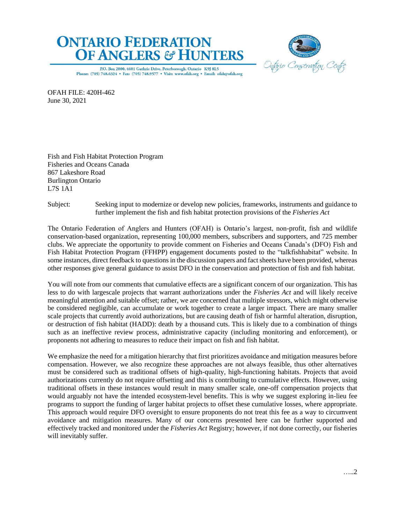



P.O. Box 2800, 4601 Guthrie Drive, Peterborough, Ontario K9J 8L5 Phone: (705) 748.6324 • Fax: (705) 748.9577 • Visit: www.ofah.org • Email: ofah@ofah.org

OFAH FILE: 420H-462 June 30, 2021

Fish and Fish Habitat Protection Program Fisheries and Oceans Canada 867 Lakeshore Road Burlington Ontario L7S 1A1

Subject: Seeking input to modernize or develop new policies, frameworks, instruments and guidance to further implement the fish and fish habitat protection provisions of the *Fisheries Act*

The Ontario Federation of Anglers and Hunters (OFAH) is Ontario's largest, non-profit, fish and wildlife conservation-based organization, representing 100,000 members, subscribers and supporters, and 725 member clubs. We appreciate the opportunity to provide comment on Fisheries and Oceans Canada's (DFO) Fish and Fish Habitat Protection Program (FFHPP) engagement documents posted to the "talkfishhabitat" website. In some instances, direct feedback to questions in the discussion papers and fact sheets have been provided, whereas other responses give general guidance to assist DFO in the conservation and protection of fish and fish habitat.

You will note from our comments that cumulative effects are a significant concern of our organization. This has less to do with largescale projects that warrant authorizations under the *Fisheries Act* and will likely receive meaningful attention and suitable offset; rather, we are concerned that multiple stressors, which might otherwise be considered negligible, can accumulate or work together to create a larger impact. There are many smaller scale projects that currently avoid authorizations, but are causing death of fish or harmful alteration, disruption, or destruction of fish habitat (HADD): death by a thousand cuts. This is likely due to a combination of things such as an ineffective review process, administrative capacity (including monitoring and enforcement), or proponents not adhering to measures to reduce their impact on fish and fish habitat.

We emphasize the need for a mitigation hierarchy that first prioritizes avoidance and mitigation measures before compensation. However, we also recognize these approaches are not always feasible, thus other alternatives must be considered such as traditional offsets of high-quality, high-functioning habitats. Projects that avoid authorizations currently do not require offsetting and this is contributing to cumulative effects. However, using traditional offsets in these instances would result in many smaller scale, one-off compensation projects that would arguably not have the intended ecosystem-level benefits. This is why we suggest exploring in-lieu fee programs to support the funding of larger habitat projects to offset these cumulative losses, where appropriate. This approach would require DFO oversight to ensure proponents do not treat this fee as a way to circumvent avoidance and mitigation measures. Many of our concerns presented here can be further supported and effectively tracked and monitored under the *Fisheries Act* Registry; however, if not done correctly, our fisheries will inevitably suffer.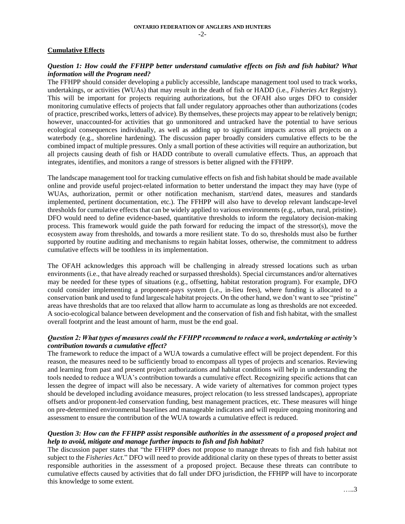## **Cumulative Effects**

## *Question 1: How could the FFHPP better understand cumulative effects on fish and fish habitat? What information will the Program need?*

The FFHPP should consider developing a publicly accessible, landscape management tool used to track works, undertakings, or activities (WUAs) that may result in the death of fish or HADD (i.e., *Fisheries Act* Registry). This will be important for projects requiring authorizations, but the OFAH also urges DFO to consider monitoring cumulative effects of projects that fall under regulatory approaches other than authorizations (codes of practice, prescribed works, letters of advice). By themselves, these projects may appear to be relatively benign; however, unaccounted-for activities that go unmonitored and untracked have the potential to have serious ecological consequences individually, as well as adding up to significant impacts across all projects on a waterbody (e.g., shoreline hardening). The discussion paper broadly considers cumulative effects to be the combined impact of multiple pressures. Only a small portion of these activities will require an authorization, but all projects causing death of fish or HADD contribute to overall cumulative effects. Thus, an approach that integrates, identifies, and monitors a range of stressors is better aligned with the FFHPP.

The landscape management tool for tracking cumulative effects on fish and fish habitat should be made available online and provide useful project-related information to better understand the impact they may have (type of WUAs, authorization, permit or other notification mechanism, start/end dates, measures and standards implemented, pertinent documentation, etc.). The FFHPP will also have to develop relevant landscape-level thresholds for cumulative effects that can be widely applied to various environments (e.g., urban, rural, pristine). DFO would need to define evidence-based, quantitative thresholds to inform the regulatory decision-making process. This framework would guide the path forward for reducing the impact of the stressor(s), move the ecosystem away from thresholds, and towards a more resilient state. To do so, thresholds must also be further supported by routine auditing and mechanisms to regain habitat losses, otherwise, the commitment to address cumulative effects will be toothless in its implementation.

The OFAH acknowledges this approach will be challenging in already stressed locations such as urban environments (i.e., that have already reached or surpassed thresholds). Special circumstances and/or alternatives may be needed for these types of situations (e.g., offsetting, habitat restoration program). For example, DFO could consider implementing a proponent-pays system (i.e., in-lieu fees), where funding is allocated to a conservation bank and used to fund largescale habitat projects. On the other hand, we don't want to see "pristine" areas have thresholds that are too relaxed that allow harm to accumulate as long as thresholds are not exceeded. A socio-ecological balance between development and the conservation of fish and fish habitat, with the smallest overall footprint and the least amount of harm, must be the end goal.

### *Question 2: What types of measures could the FFHPP recommend to reduce a work, undertaking or activity's contribution towards a cumulative effect?*

The framework to reduce the impact of a WUA towards a cumulative effect will be project dependent. For this reason, the measures need to be sufficiently broad to encompass all types of projects and scenarios. Reviewing and learning from past and present project authorizations and habitat conditions will help in understanding the tools needed to reduce a WUA's contribution towards a cumulative effect. Recognizing specific actions that can lessen the degree of impact will also be necessary. A wide variety of alternatives for common project types should be developed including avoidance measures, project relocation (to less stressed landscapes), appropriate offsets and/or proponent-led conservation funding, best management practices, etc. These measures will hinge on pre-determined environmental baselines and manageable indicators and will require ongoing monitoring and assessment to ensure the contribution of the WUA towards a cumulative effect is reduced.

## *Question 3: How can the FFHPP assist responsible authorities in the assessment of a proposed project and help to avoid, mitigate and manage further impacts to fish and fish habitat?*

The discussion paper states that "the FFHPP does not propose to manage threats to fish and fish habitat not subject to the *Fisheries Act*." DFO will need to provide additional clarity on these types of threats to better assist responsible authorities in the assessment of a proposed project. Because these threats can contribute to cumulative effects caused by activities that do fall under DFO jurisdiction, the FFHPP will have to incorporate this knowledge to some extent.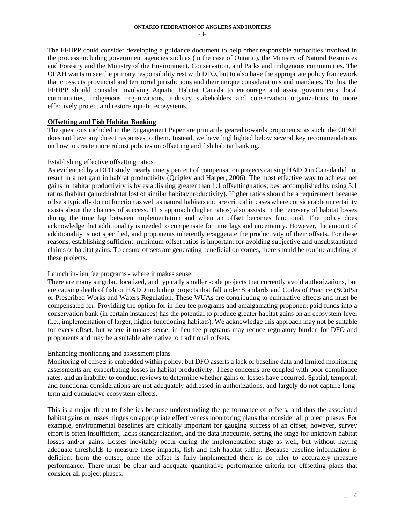The FFHPP could consider developing a guidance document to help other responsible authorities involved in the process including government agencies such as (in the case of Ontario), the Ministry of Natural Resources and Forestry and the Ministry of the Environment, Conservation, and Parks and Indigenous communities. The OFAH wants to see the primary responsibility rest with DFO, but to also have the appropriate policy framework that crosscuts provincial and territorial jurisdictions and their unique considerations and mandates. To this, the FFHPP should consider involving Aquatic Habitat Canada to encourage and assist governments, local communities, Indigenous organizations, industry stakeholders and conservation organizations to more effectively protect and restore aquatic ecosystems.

## **Offsetting and Fish Habitat Banking**

The questions included in the Engagement Paper are primarily geared towards proponents; as such, the OFAH does not have any direct responses to them. Instead, we have highlighted below several key recommendations on how to create more robust policies on offsetting and fish habitat banking.

## Establishing effective offsetting ratios

As evidenced by a DFO study, nearly ninety percent of compensation projects causing HADD in Canada did not result in a net gain in habitat productivity (Quigley and Harper, 2006). The most effective way to achieve net gains in habitat productivity is by establishing greater than 1:1 offsetting ratios; best accomplished by using 5:1 ratios (habitat gained:habitat lost of similar habitat/productivity). Higher ratios should be a requirement because offsets typically do not function as well as natural habitats and are critical in cases where considerable uncertainty exists about the chances of success. This approach (higher ratios) also assists in the recovery of habitat losses during the time lag between implementation and when an offset becomes functional. The policy does acknowledge that additionality is needed to compensate for time lags and uncertainty. However, the amount of additionality is not specified, and proponents inherently exaggerate the productivity of their offsets. For these reasons, establishing sufficient, minimum offset ratios is important for avoiding subjective and unsubstantiated claims of habitat gains. To ensure offsets are generating beneficial outcomes, there should be routine auditing of these projects.

### Launch in-lieu fee programs - where it makes sense

There are many singular, localized, and typically smaller scale projects that currently avoid authorizations, but are causing death of fish or HADD including projects that fall under Standards and Codes of Practice (SCoPs) or Prescribed Works and Waters Regulation. These WUAs are contributing to cumulative effects and must be compensated for. Providing the option for in-lieu fee programs and amalgamating proponent paid funds into a conservation bank (in certain instances) has the potential to produce greater habitat gains on an ecosystem-level (i.e., implementation of larger, higher functioning habitats). We acknowledge this approach may not be suitable for every offset, but where it makes sense, in-lieu fee programs may reduce regulatory burden for DFO and proponents and may be a suitable alternative to traditional offsets.

### Enhancing monitoring and assessment plans

Monitoring of offsets is embedded within policy, but DFO asserts a lack of baseline data and limited monitoring assessments are exacerbating losses in habitat productivity. These concerns are coupled with poor compliance rates, and an inability to conduct reviews to determine whether gains or losses have occurred. Spatial, temporal, and functional considerations are not adequately addressed in authorizations, and largely do not capture longterm and cumulative ecosystem effects.

This is a major threat to fisheries because understanding the performance of offsets, and thus the associated habitat gains or losses hinges on appropriate effectiveness monitoring plans that consider all project phases. For example, environmental baselines are critically important for gauging success of an offset; however, survey effort is often insufficient, lacks standardization, and the data inaccurate, setting the stage for unknown habitat losses and/or gains. Losses inevitably occur during the implementation stage as well, but without having adequate thresholds to measure these impacts, fish and fish habitat suffer. Because baseline information is deficient from the outset, once the offset is fully implemented there is no ruler to accurately measure performance. There must be clear and adequate quantitative performance criteria for offsetting plans that consider all project phases.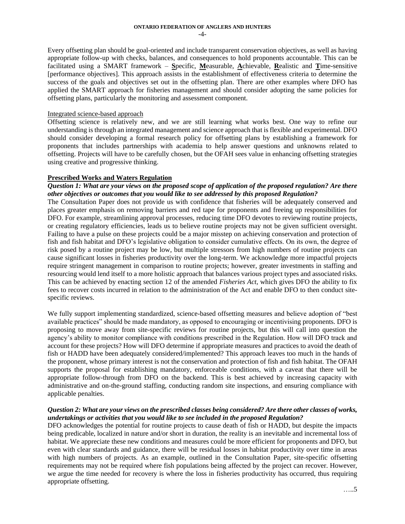Every offsetting plan should be goal-oriented and include transparent conservation objectives, as well as having appropriate follow-up with checks, balances, and consequences to hold proponents accountable. This can be facilitated using a SMART framework – **S**pecific, **M**easurable, **A**chievable, **R**ealistic and **T**ime-sensitive [performance objectives]. This approach assists in the establishment of effectiveness criteria to determine the success of the goals and objectives set out in the offsetting plan. There are other examples where DFO has applied the SMART approach for fisheries management and should consider adopting the same policies for offsetting plans, particularly the monitoring and assessment component.

### Integrated science-based approach

Offsetting science is relatively new, and we are still learning what works best. One way to refine our understanding is through an integrated management and science approach that is flexible and experimental. DFO should consider developing a formal research policy for offsetting plans by establishing a framework for proponents that includes partnerships with academia to help answer questions and unknowns related to offsetting. Projects will have to be carefully chosen, but the OFAH sees value in enhancing offsetting strategies using creative and progressive thinking.

## **Prescribed Works and Waters Regulation**

## *Question 1: What are your views on the proposed scope of application of the proposed regulation? Are there other objectives or outcomes that you would like to see addressed by this proposed Regulation?*

The Consultation Paper does not provide us with confidence that fisheries will be adequately conserved and places greater emphasis on removing barriers and red tape for proponents and freeing up responsibilities for DFO. For example, streamlining approval processes, reducing time DFO devotes to reviewing routine projects, or creating regulatory efficiencies, leads us to believe routine projects may not be given sufficient oversight. Failing to have a pulse on these projects could be a major misstep on achieving conservation and protection of fish and fish habitat and DFO's legislative obligation to consider cumulative effects. On its own, the degree of risk posed by a routine project may be low, but multiple stressors from high numbers of routine projects can cause significant losses in fisheries productivity over the long-term. We acknowledge more impactful projects require stringent management in comparison to routine projects; however, greater investments in staffing and resourcing would lend itself to a more holistic approach that balances various project types and associated risks. This can be achieved by enacting section 12 of the amended *Fisheries Act*, which gives DFO the ability to fix fees to recover costs incurred in relation to the administration of the Act and enable DFO to then conduct sitespecific reviews.

We fully support implementing standardized, science-based offsetting measures and believe adoption of "best" available practices" should be made mandatory, as opposed to encouraging or incentivising proponents. DFO is proposing to move away from site-specific reviews for routine projects, but this will call into question the agency's ability to monitor compliance with conditions prescribed in the Regulation. How will DFO track and account for these projects? How will DFO determine if appropriate measures and practices to avoid the death of fish or HADD have been adequately considered/implemented? This approach leaves too much in the hands of the proponent, whose primary interest is not the conservation and protection of fish and fish habitat. The OFAH supports the proposal for establishing mandatory, enforceable conditions, with a caveat that there will be appropriate follow-through from DFO on the backend. This is best achieved by increasing capacity with administrative and on-the-ground staffing, conducting random site inspections, and ensuring compliance with applicable penalties.

## *Question 2: What are your views on the prescribed classes being considered? Are there other classes of works, undertakings or activities that you would like to see included in the proposed Regulation?*

DFO acknowledges the potential for routine projects to cause death of fish or HADD, but despite the impacts being predicable, localized in nature and/or short in duration, the reality is an inevitable and incremental loss of habitat. We appreciate these new conditions and measures could be more efficient for proponents and DFO, but even with clear standards and guidance, there will be residual losses in habitat productivity over time in areas with high numbers of projects. As an example, outlined in the Consultation Paper, site-specific offsetting requirements may not be required where fish populations being affected by the project can recover. However, we argue the time needed for recovery is where the loss in fisheries productivity has occurred, thus requiring appropriate offsetting.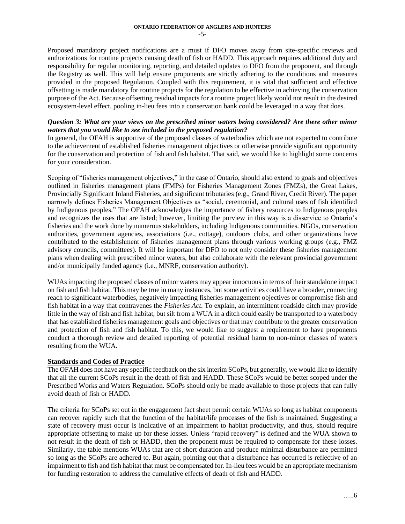Proposed mandatory project notifications are a must if DFO moves away from site-specific reviews and authorizations for routine projects causing death of fish or HADD. This approach requires additional duty and responsibility for regular monitoring, reporting, and detailed updates to DFO from the proponent, and through the Registry as well. This will help ensure proponents are strictly adhering to the conditions and measures provided in the proposed Regulation. Coupled with this requirement, it is vital that sufficient and effective offsetting is made mandatory for routine projects for the regulation to be effective in achieving the conservation purpose of the Act. Because offsetting residual impacts for a routine project likely would not result in the desired ecosystem-level effect, pooling in-lieu fees into a conservation bank could be leveraged in a way that does.

## *Question 3: What are your views on the prescribed minor waters being considered? Are there other minor waters that you would like to see included in the proposed regulation?*

In general, the OFAH is supportive of the proposed classes of waterbodies which are not expected to contribute to the achievement of established fisheries management objectives or otherwise provide significant opportunity for the conservation and protection of fish and fish habitat. That said, we would like to highlight some concerns for your consideration.

Scoping of "fisheries management objectives," in the case of Ontario, should also extend to goals and objectives outlined in fisheries management plans (FMPs) for Fisheries Management Zones (FMZs), the Great Lakes, Provincially Significant Inland Fisheries, and significant tributaries (e.g., Grand River, Credit River). The paper narrowly defines Fisheries Management Objectives as "social, ceremonial, and cultural uses of fish identified by Indigenous peoples." The OFAH acknowledges the importance of fishery resources to Indigenous peoples and recognizes the uses that are listed; however, limiting the purview in this way is a disservice to Ontario's fisheries and the work done by numerous stakeholders, including Indigenous communities. NGOs, conservation authorities, government agencies, associations (i.e., cottage), outdoors clubs, and other organizations have contributed to the establishment of fisheries management plans through various working groups (e.g., FMZ advisory councils, committees). It will be important for DFO to not only consider these fisheries management plans when dealing with prescribed minor waters, but also collaborate with the relevant provincial government and/or municipally funded agency (i.e., MNRF, conservation authority).

WUAs impacting the proposed classes of minor waters may appear innocuous in terms of their standalone impact on fish and fish habitat. This may be true in many instances, but some activities could have a broader, connecting reach to significant waterbodies, negatively impacting fisheries management objectives or compromise fish and fish habitat in a way that contravenes the *Fisheries Act*. To explain, an intermittent roadside ditch may provide little in the way of fish and fish habitat, but silt from a WUA in a ditch could easily be transported to a waterbody that has established fisheries management goals and objectives or that may contribute to the greater conservation and protection of fish and fish habitat. To this, we would like to suggest a requirement to have proponents conduct a thorough review and detailed reporting of potential residual harm to non-minor classes of waters resulting from the WUA.

# **Standards and Codes of Practice**

The OFAH does not have any specific feedback on the six interim SCoPs, but generally, we would like to identify that all the current SCoPs result in the death of fish and HADD. These SCoPs would be better scoped under the Prescribed Works and Waters Regulation. SCoPs should only be made available to those projects that can fully avoid death of fish or HADD.

The criteria for SCoPs set out in the engagement fact sheet permit certain WUAs so long as habitat components can recover rapidly such that the function of the habitat/life processes of the fish is maintained. Suggesting a state of recovery must occur is indicative of an impairment to habitat productivity, and thus, should require appropriate offsetting to make up for these losses. Unless "rapid recovery" is defined and the WUA shown to not result in the death of fish or HADD, then the proponent must be required to compensate for these losses. Similarly, the table mentions WUAs that are of short duration and produce minimal disturbance are permitted so long as the SCoPs are adhered to. But again, pointing out that a disturbance has occurred is reflective of an impairment to fish and fish habitat that must be compensated for. In-lieu fees would be an appropriate mechanism for funding restoration to address the cumulative effects of death of fish and HADD.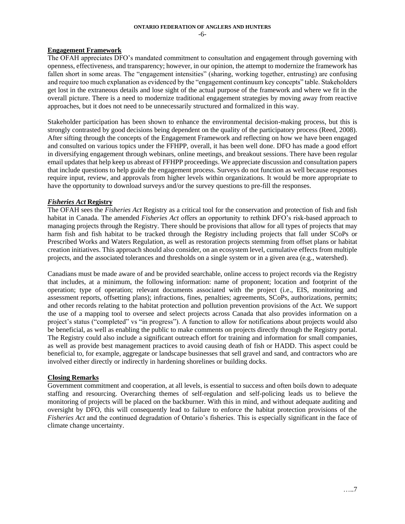-6-

### **Engagement Framework**

The OFAH appreciates DFO's mandated commitment to consultation and engagement through governing with openness, effectiveness, and transparency; however, in our opinion, the attempt to modernize the framework has fallen short in some areas. The "engagement intensities" (sharing, working together, entrusting) are confusing and require too much explanation as evidenced by the "engagement continuum key concepts" table. Stakeholders get lost in the extraneous details and lose sight of the actual purpose of the framework and where we fit in the overall picture. There is a need to modernize traditional engagement strategies by moving away from reactive approaches, but it does not need to be unnecessarily structured and formalized in this way.

Stakeholder participation has been shown to enhance the environmental decision-making process, but this is strongly contrasted by good decisions being dependent on the quality of the participatory process (Reed, 2008). After sifting through the concepts of the Engagement Framework and reflecting on how we have been engaged and consulted on various topics under the FFHPP, overall, it has been well done. DFO has made a good effort in diversifying engagement through webinars, online meetings, and breakout sessions. There have been regular email updates that help keep us abreast of FFHPP proceedings. We appreciate discussion and consultation papers that include questions to help guide the engagement process. Surveys do not function as well because responses require input, review, and approvals from higher levels within organizations. It would be more appropriate to have the opportunity to download surveys and/or the survey questions to pre-fill the responses.

## *Fisheries Act* **Registry**

The OFAH sees the *Fisheries Act* Registry as a critical tool for the conservation and protection of fish and fish habitat in Canada. The amended *Fisheries Act* offers an opportunity to rethink DFO's risk-based approach to managing projects through the Registry. There should be provisions that allow for all types of projects that may harm fish and fish habitat to be tracked through the Registry including projects that fall under SCoPs or Prescribed Works and Waters Regulation, as well as restoration projects stemming from offset plans or habitat creation initiatives. This approach should also consider, on an ecosystem level, cumulative effects from multiple projects, and the associated tolerances and thresholds on a single system or in a given area (e.g., watershed).

Canadians must be made aware of and be provided searchable, online access to project records via the Registry that includes, at a minimum, the following information: name of proponent; location and footprint of the operation; type of operation; relevant documents associated with the project (i.e., EIS, monitoring and assessment reports, offsetting plans); infractions, fines, penalties; agreements, SCoPs, authorizations, permits; and other records relating to the habitat protection and pollution prevention provisions of the Act. We support the use of a mapping tool to oversee and select projects across Canada that also provides information on a project's status ("completed" vs "in progress"). A function to allow for notifications about projects would also be beneficial, as well as enabling the public to make comments on projects directly through the Registry portal. The Registry could also include a significant outreach effort for training and information for small companies, as well as provide best management practices to avoid causing death of fish or HADD. This aspect could be beneficial to, for example, aggregate or landscape businesses that sell gravel and sand, and contractors who are involved either directly or indirectly in hardening shorelines or building docks.

### **Closing Remarks**

Government commitment and cooperation, at all levels, is essential to success and often boils down to adequate staffing and resourcing. Overarching themes of self-regulation and self-policing leads us to believe the monitoring of projects will be placed on the backburner. With this in mind, and without adequate auditing and oversight by DFO, this will consequently lead to failure to enforce the habitat protection provisions of the *Fisheries Act* and the continued degradation of Ontario's fisheries. This is especially significant in the face of climate change uncertainty.